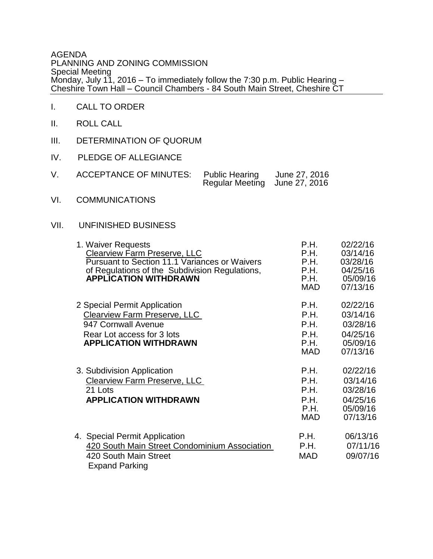AGENDA PLANNING AND ZONING COMMISSION Special Meeting Monday, July 11, 2016 – To immediately follow the 7:30 p.m. Public Hearing – Cheshire Town Hall – Council Chambers - 84 South Main Street, Cheshire CT

- I. CALL TO ORDER
- II. ROLL CALL
- III. DETERMINATION OF QUORUM
- IV. PLEDGE OF ALLEGIANCE

| ACCEPTANCE OF MINUTES: Public Hearing |                               | June 27, 2016 |
|---------------------------------------|-------------------------------|---------------|
|                                       | Regular Meeting June 27, 2016 |               |

VI. COMMUNICATIONS

## VII. UNFINISHED BUSINESS

| 1. Waiver Requests<br><b>Clearview Farm Preserve, LLC</b><br><b>Pursuant to Section 11.1 Variances or Waivers</b><br>of Regulations of the Subdivision Regulations,<br><b>APPLICATION WITHDRAWN</b> | P.H.<br>P.H.<br>P.H.<br>P.H.<br>P.H.<br><b>MAD</b> | 02/22/16<br>03/14/16<br>03/28/16<br>04/25/16<br>05/09/16<br>07/13/16 |
|-----------------------------------------------------------------------------------------------------------------------------------------------------------------------------------------------------|----------------------------------------------------|----------------------------------------------------------------------|
| 2 Special Permit Application<br><b>Clearview Farm Preserve, LLC</b><br>947 Cornwall Avenue<br>Rear Lot access for 3 lots<br><b>APPLICATION WITHDRAWN</b>                                            | P.H.<br>P.H.<br>P.H.<br>P.H.<br>P.H.<br><b>MAD</b> | 02/22/16<br>03/14/16<br>03/28/16<br>04/25/16<br>05/09/16<br>07/13/16 |
| 3. Subdivision Application<br><b>Clearview Farm Preserve, LLC</b><br>21 Lots<br><b>APPLICATION WITHDRAWN</b>                                                                                        | P.H.<br>P.H.<br>P.H.<br>P.H.<br>P.H.<br><b>MAD</b> | 02/22/16<br>03/14/16<br>03/28/16<br>04/25/16<br>05/09/16<br>07/13/16 |
| 4. Special Permit Application<br>420 South Main Street Condominium Association<br>420 South Main Street<br><b>Expand Parking</b>                                                                    | P.H.<br>P.H.<br><b>MAD</b>                         | 06/13/16<br>07/11/16<br>09/07/16                                     |